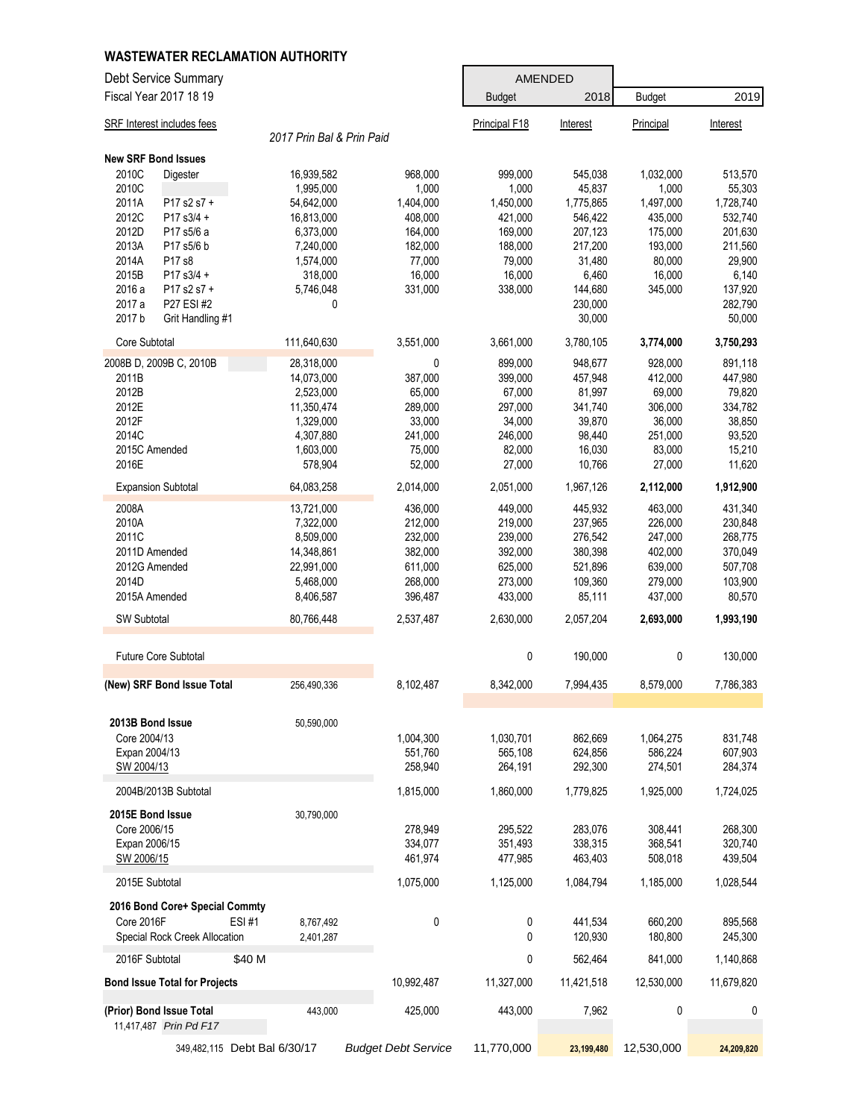|                                      | <b>WASTEWATER RECLAMATION AUTHORITY</b> |                            |                    |                    |                    |                    |
|--------------------------------------|-----------------------------------------|----------------------------|--------------------|--------------------|--------------------|--------------------|
| Debt Service Summary                 |                                         |                            |                    | <b>AMENDED</b>     |                    |                    |
| Fiscal Year 2017 18 19               |                                         |                            | <b>Budget</b>      | 2018               | <b>Budget</b>      | 2019               |
| <b>SRF</b> Interest includes fees    |                                         |                            | Principal F18      | Interest           | Principal          | Interest           |
|                                      | 2017 Prin Bal & Prin Paid               |                            |                    |                    |                    |                    |
| <b>New SRF Bond Issues</b>           |                                         |                            |                    |                    |                    |                    |
| 2010C<br>Digester                    | 16,939,582                              | 968,000                    | 999,000            | 545,038            | 1,032,000          | 513,570            |
| 2010C                                | 1,995,000                               | 1,000                      | 1,000              | 45,837             | 1,000              | 55,303             |
| 2011A<br>P17 s2 s7 +                 | 54,642,000                              | 1,404,000                  | 1,450,000          | 1,775,865          | 1,497,000          | 1,728,740          |
| 2012C<br>P17 s3/4 +<br>P17 s5/6 a    | 16,813,000                              | 408,000                    | 421,000            | 546,422            | 435,000            | 532,740            |
| 2012D<br>2013A<br>P17 s5/6 b         | 6,373,000<br>7,240,000                  | 164,000<br>182,000         | 169,000<br>188,000 | 207,123<br>217,200 | 175,000<br>193,000 | 201,630<br>211,560 |
| 2014A<br>P17 s8                      | 1,574,000                               | 77,000                     | 79,000             | 31,480             | 80,000             | 29,900             |
| 2015B<br>P17 s3/4 +                  | 318,000                                 | 16,000                     | 16,000             | 6,460              | 16,000             | 6,140              |
| 2016 a<br>P17 s2 s7 +                | 5,746,048                               | 331,000                    | 338,000            | 144,680            | 345,000            | 137,920            |
| P27 ESI #2<br>2017 a                 | 0                                       |                            |                    | 230,000            |                    | 282,790            |
| 2017 b<br>Grit Handling #1           |                                         |                            |                    | 30,000             |                    | 50,000             |
| Core Subtotal                        | 111,640,630                             | 3,551,000                  | 3,661,000          | 3,780,105          | 3,774,000          | 3,750,293          |
| 2008B D, 2009B C, 2010B              | 28,318,000                              | 0                          | 899,000            | 948,677            | 928,000            | 891,118            |
| 2011B                                | 14,073,000                              | 387,000                    | 399,000            | 457,948            | 412,000            | 447,980            |
| 2012B                                | 2,523,000                               | 65,000                     | 67,000             | 81,997             | 69,000             | 79,820             |
| 2012E                                | 11,350,474                              | 289,000                    | 297,000            | 341,740            | 306,000            | 334,782            |
| 2012F<br>2014C                       | 1,329,000                               | 33,000                     | 34,000             | 39,870             | 36,000             | 38,850             |
| 2015C Amended                        | 4,307,880<br>1,603,000                  | 241,000<br>75,000          | 246,000<br>82,000  | 98,440<br>16,030   | 251,000<br>83,000  | 93,520<br>15,210   |
| 2016E                                | 578,904                                 | 52,000                     | 27,000             | 10,766             | 27,000             | 11,620             |
| <b>Expansion Subtotal</b>            | 64,083,258                              | 2,014,000                  | 2,051,000          | 1,967,126          | 2,112,000          | 1,912,900          |
| 2008A                                | 13,721,000                              | 436,000                    | 449,000            | 445,932            | 463,000            | 431,340            |
| 2010A                                | 7,322,000                               | 212,000                    | 219,000            | 237,965            | 226,000            | 230,848            |
| 2011C                                | 8,509,000                               | 232,000                    | 239,000            | 276,542            | 247,000            | 268,775            |
| 2011D Amended                        | 14,348,861                              | 382,000                    | 392,000            | 380,398            | 402,000            | 370,049            |
| 2012G Amended                        | 22,991,000                              | 611,000                    | 625,000            | 521,896            | 639,000            | 507,708            |
| 2014D                                | 5,468,000                               | 268,000                    | 273,000            | 109,360            | 279,000            | 103,900            |
| 2015A Amended                        | 8,406,587                               | 396,487                    | 433,000            | 85,111             | 437,000            | 80,570             |
| SW Subtotal                          | 80,766,448                              | 2,537,487                  | 2,630,000          | 2,057,204          | 2,693,000          | 1,993,190          |
| Future Core Subtotal                 |                                         |                            | 0                  | 190,000            | 0                  | 130,000            |
|                                      |                                         |                            |                    |                    |                    |                    |
| (New) SRF Bond Issue Total           | 256,490,336                             | 8,102,487                  | 8,342,000          | 7,994,435          | 8,579,000          | 7,786,383          |
| 2013B Bond Issue                     | 50,590,000                              |                            |                    |                    |                    |                    |
| Core 2004/13                         |                                         | 1,004,300                  | 1,030,701          | 862,669            | 1,064,275          | 831,748            |
| Expan 2004/13                        |                                         | 551,760                    | 565,108            | 624,856            | 586,224            | 607,903            |
| SW 2004/13                           |                                         | 258,940                    | 264,191            | 292,300            | 274,501            | 284,374            |
| 2004B/2013B Subtotal                 |                                         | 1,815,000                  | 1,860,000          | 1.779.825          | 1.925.000          | 1,724,025          |
|                                      |                                         |                            |                    |                    |                    |                    |
| 2015E Bond Issue<br>Core 2006/15     | 30,790,000                              | 278,949                    | 295,522            | 283,076            | 308,441            | 268,300            |
| Expan 2006/15                        |                                         | 334,077                    | 351,493            | 338,315            | 368,541            | 320,740            |
| SW 2006/15                           |                                         | 461.974                    | 477,985            | 463,403            | 508,018            | 439,504            |
| 2015E Subtotal                       |                                         | 1,075,000                  | 1,125,000          | 1,084,794          | 1,185,000          | 1,028,544          |
| 2016 Bond Core+ Special Commty       |                                         |                            |                    |                    |                    |                    |
| Core 2016F                           | <b>ESI#1</b><br>8,767,492               | 0                          | 0                  | 441,534            | 660,200            | 895,568            |
| Special Rock Creek Allocation        | 2,401,287                               |                            | 0                  | 120,930            | 180,800            | 245,300            |
| 2016F Subtotal                       | \$40 M                                  |                            | 0                  | 562,464            | 841,000            | 1,140,868          |
| <b>Bond Issue Total for Projects</b> |                                         | 10,992,487                 | 11,327,000         | 11,421,518         | 12,530,000         | 11,679,820         |
| (Prior) Bond Issue Total             | 443,000                                 | 425,000                    | 443,000            | 7,962              | 0                  | 0                  |
| 11,417,487 Prin Pd F17               |                                         |                            |                    |                    |                    |                    |
|                                      | 349,482,115 Debt Bal 6/30/17            | <b>Budget Debt Service</b> | 11,770,000         | 23,199,480         | 12,530,000         | 24,209,820         |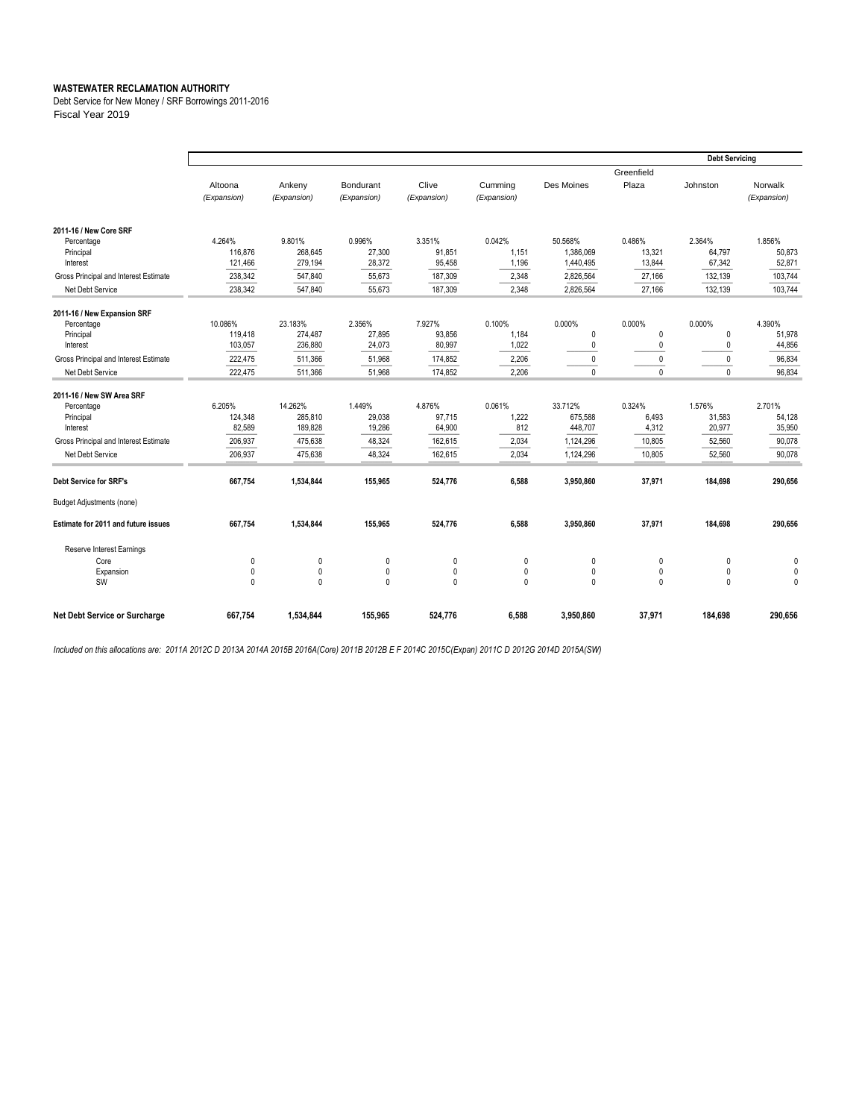Debt Service for New Money / SRF Borrowings 2011-2016 Fiscal Year 2019

|                                       |              |              |              |              |             |              |              | <b>Debt Servicing</b> |              |
|---------------------------------------|--------------|--------------|--------------|--------------|-------------|--------------|--------------|-----------------------|--------------|
|                                       |              |              |              |              |             |              | Greenfield   |                       |              |
|                                       | Altoona      | Ankeny       | Bondurant    | Clive        | Cumming     | Des Moines   | Plaza        | Johnston              | Norwalk      |
|                                       | (Expansion)  | (Expansion)  | (Expansion)  | (Expansion)  | (Expansion) |              |              |                       | (Expansion)  |
|                                       |              |              |              |              |             |              |              |                       |              |
| 2011-16 / New Core SRF                |              |              |              |              |             |              |              |                       |              |
| Percentage                            | 4.264%       | 9.801%       | 0.996%       | 3.351%       | 0.042%      | 50.568%      | 0.486%       | 2.364%                | 1.856%       |
| Principal                             | 116,876      | 268,645      | 27,300       | 91,851       | 1,151       | 1,386,069    | 13,321       | 64,797                | 50,873       |
| Interest                              | 121,466      | 279,194      | 28,372       | 95,458       | 1,196       | 1,440,495    | 13,844       | 67,342                | 52,871       |
| Gross Principal and Interest Estimate | 238,342      | 547,840      | 55,673       | 187,309      | 2,348       | 2,826,564    | 27,166       | 132,139               | 103,744      |
| Net Debt Service                      | 238,342      | 547,840      | 55,673       | 187,309      | 2,348       | 2,826,564    | 27,166       | 132,139               | 103,744      |
| 2011-16 / New Expansion SRF           |              |              |              |              |             |              |              |                       |              |
| Percentage                            | 10.086%      | 23.183%      | 2.356%       | 7.927%       | 0.100%      | 0.000%       | 0.000%       | 0.000%                | 4.390%       |
| Principal                             | 119,418      | 274,487      | 27,895       | 93,856       | 1,184       | 0            | $\mathbf{0}$ | $\mathbf{0}$          | 51,978       |
| Interest                              | 103,057      | 236,880      | 24,073       | 80,997       | 1,022       | $\mathbf{0}$ | 0            | $\theta$              | 44,856       |
| Gross Principal and Interest Estimate | 222,475      | 511,366      | 51,968       | 174,852      | 2,206       | 0            | $\pmb{0}$    | 0                     | 96,834       |
| Net Debt Service                      | 222,475      | 511,366      | 51,968       | 174,852      | 2,206       | 0            | $\mathbf{0}$ | $\mathbf{0}$          | 96,834       |
| 2011-16 / New SW Area SRF             |              |              |              |              |             |              |              |                       |              |
| Percentage                            | 6.205%       | 14.262%      | 1.449%       | 4.876%       | 0.061%      | 33.712%      | 0.324%       | 1.576%                | 2.701%       |
| Principal                             | 124,348      | 285,810      | 29,038       | 97,715       | 1,222       | 675,588      | 6,493        | 31,583                | 54,128       |
| Interest                              | 82,589       | 189,828      | 19,286       | 64,900       | 812         | 448,707      | 4,312        | 20,977                | 35,950       |
| Gross Principal and Interest Estimate | 206,937      | 475,638      | 48,324       | 162,615      | 2,034       | 1,124,296    | 10,805       | 52,560                | 90,078       |
| Net Debt Service                      | 206,937      | 475,638      | 48,324       | 162,615      | 2,034       | 1,124,296    | 10,805       | 52,560                | 90,078       |
| <b>Debt Service for SRF's</b>         | 667,754      | 1,534,844    | 155,965      | 524,776      | 6,588       | 3,950,860    | 37,971       | 184,698               | 290,656      |
| <b>Budget Adjustments (none)</b>      |              |              |              |              |             |              |              |                       |              |
| Estimate for 2011 and future issues   | 667,754      | 1,534,844    | 155,965      | 524,776      | 6,588       | 3,950,860    | 37,971       | 184,698               | 290,656      |
| Reserve Interest Earnings             |              |              |              |              |             |              |              |                       |              |
| Core                                  | 0            | $\mathbf{0}$ | 0            | 0            | 0           | 0            | 0            | $\mathbf{0}$          | $\mathbf 0$  |
| Expansion                             | $\mathbf 0$  | $\mathbf{0}$ | $\pmb{0}$    | 0            | 0           | 0            | 0            | $\mathbf{0}$          | $\mathbf{0}$ |
| SW                                    | $\mathbf{0}$ | $\mathbf{0}$ | $\mathbf{0}$ | $\mathbf{0}$ | $\Omega$    | 0            | $\Omega$     | $\mathbf{0}$          | $\Omega$     |
| Net Debt Service or Surcharge         | 667,754      | 1,534,844    | 155,965      | 524,776      | 6,588       | 3,950,860    | 37,971       | 184,698               | 290,656      |

*Included on this allocations are: 2011A 2012C D 2013A 2014A 2015B 2016A(Core) 2011B 2012B E F 2014C 2015C(Expan) 2011C D 2012G 2014D 2015A(SW)*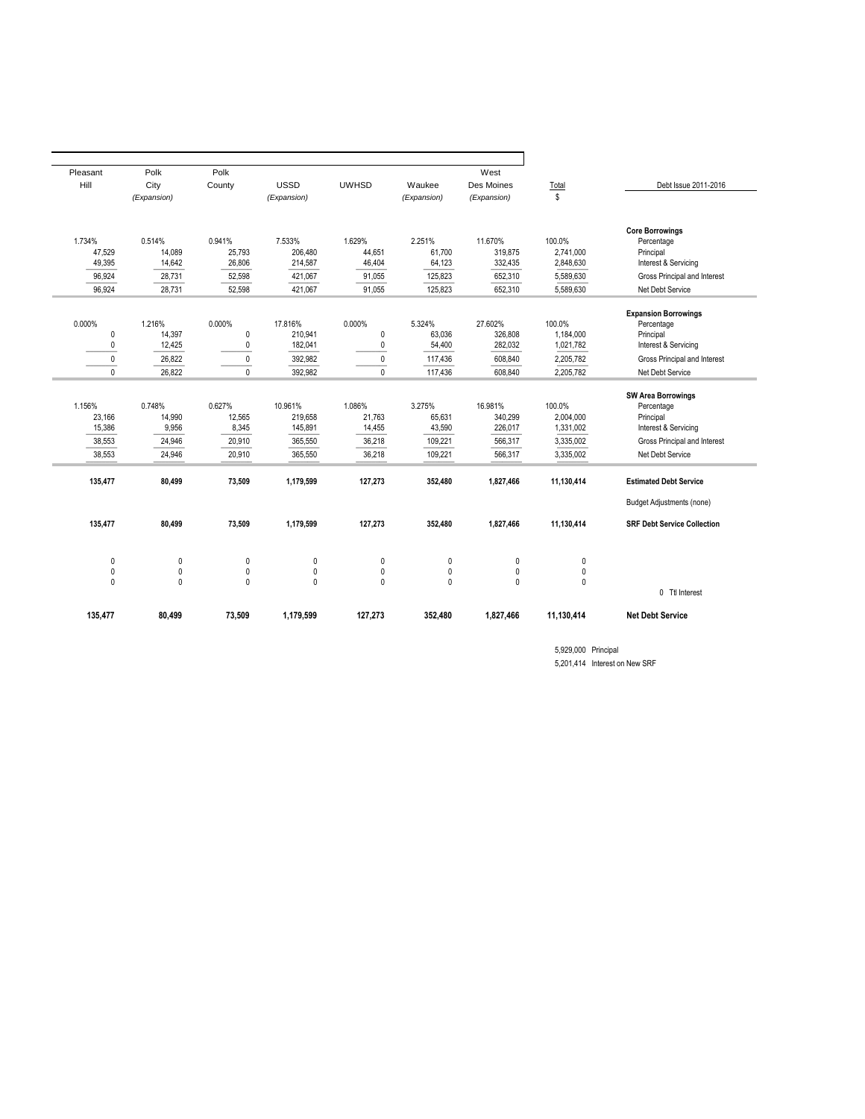|                                    |                        | West               |                  |                  |                    | Polk             | Polk             | Pleasant         |
|------------------------------------|------------------------|--------------------|------------------|------------------|--------------------|------------------|------------------|------------------|
| Debt Issue 2011-2016               | Total                  | Des Moines         | Waukee           | <b>UWHSD</b>     | <b>USSD</b>        | County           | City             | Hill             |
|                                    | \$                     | (Expansion)        | (Expansion)      |                  | (Expansion)        |                  | (Expansion)      |                  |
| <b>Core Borrowings</b>             |                        |                    |                  |                  |                    |                  |                  |                  |
| Percentage                         | 100.0%                 | 11.670%            | 2.251%           | 1.629%           | 7.533%             | 0.941%           | 0.514%           | 1.734%           |
| Principal<br>Interest & Servicing  | 2.741.000<br>2,848,630 | 319.875<br>332,435 | 61.700<br>64,123 | 44.651<br>46,404 | 206.480<br>214,587 | 25.793<br>26,806 | 14.089<br>14,642 | 47.529<br>49,395 |
| Gross Principal and Interest       | 5,589,630              | 652,310            | 125,823          | 91,055           | 421,067            | 52,598           | 28,731           | 96,924           |
|                                    | 5,589,630              | 652,310            | 125,823          | 91,055           | 421,067            | 52,598           | 28,731           | 96,924           |
| Net Debt Service                   |                        |                    |                  |                  |                    |                  |                  |                  |
| <b>Expansion Borrowings</b>        |                        |                    |                  |                  |                    |                  |                  |                  |
| Percentage                         | 100.0%                 | 27.602%            | 5.324%           | 0.000%           | 17.816%            | 0.000%           | 1.216%           | 0.000%           |
| Principal                          | 1.184.000              | 326.808            | 63.036           | $\mathbf{0}$     | 210.941            | $\mathbf 0$      | 14.397           | 0                |
| Interest & Servicing               | 1,021,782              | 282.032            | 54,400           | $\mathbf{0}$     | 182,041            | $\mathbf 0$      | 12,425           | 0                |
| Gross Principal and Interest       | 2,205,782              | 608,840            | 117,436          | $\pmb{0}$        | 392,982            | $\pmb{0}$        | 26,822           | 0                |
| Net Debt Service                   | 2.205.782              | 608.840            | 117.436          | $\mathbf{0}$     | 392.982            | $\mathbf{0}$     | 26.822           | $\Omega$         |
| <b>SW Area Borrowings</b>          |                        |                    |                  |                  |                    |                  |                  |                  |
| Percentage                         | 100.0%                 | 16.981%            | 3.275%           | 1.086%           | 10.961%            | 0.627%           | 0.748%           | 1.156%           |
| Principal                          | 2,004,000              | 340.299            | 65,631           | 21,763           | 219,658            | 12,565           | 14,990           | 23.166           |
| Interest & Servicing               | 1,331,002              | 226,017            | 43,590           | 14,455           | 145,891            | 8,345            | 9,956            | 15,386           |
| Gross Principal and Interest       | 3,335,002              | 566,317            | 109,221          | 36,218           | 365,550            | 20,910           | 24,946           | 38,553           |
| Net Debt Service                   | 3.335.002              | 566,317            | 109.221          | 36,218           | 365.550            | 20,910           | 24.946           | 38.553           |
| <b>Estimated Debt Service</b>      | 11,130,414             | 1,827,466          | 352,480          | 127,273          | 1,179,599          | 73,509           | 80,499           | 135,477          |
| <b>Budget Adjustments (none)</b>   |                        |                    |                  |                  |                    |                  |                  |                  |
| <b>SRF Debt Service Collection</b> | 11,130,414             | 1,827,466          | 352,480          | 127,273          | 1,179,599          | 73,509           | 80,499           | 135,477          |
|                                    | 0                      | 0                  | $\pmb{0}$        | $\pmb{0}$        | $\pmb{0}$          | $\pmb{0}$        | $\pmb{0}$        | 0                |
|                                    | $\pmb{0}$              | $\mathbf 0$        | $\pmb{0}$        | $\mathbf{0}$     | $\pmb{0}$          | $\mathbf{0}$     | $\pmb{0}$        | 0                |
|                                    | 0                      | $\mathbf{0}$       | $\mathbf{0}$     | $\mathbf{0}$     | $\mathbf 0$        | $\mathbf{0}$     | $\mathbf{0}$     | $\mathbf{0}$     |
| 0 Ttl Interest                     |                        |                    |                  |                  |                    |                  |                  |                  |
| <b>Net Debt Service</b>            | 11,130,414             | 1,827,466          | 352,480          | 127,273          | 1,179,599          | 73,509           | 80,499           | 135,477          |

5,929,000 Principal 5,201,414 Interest on New SRF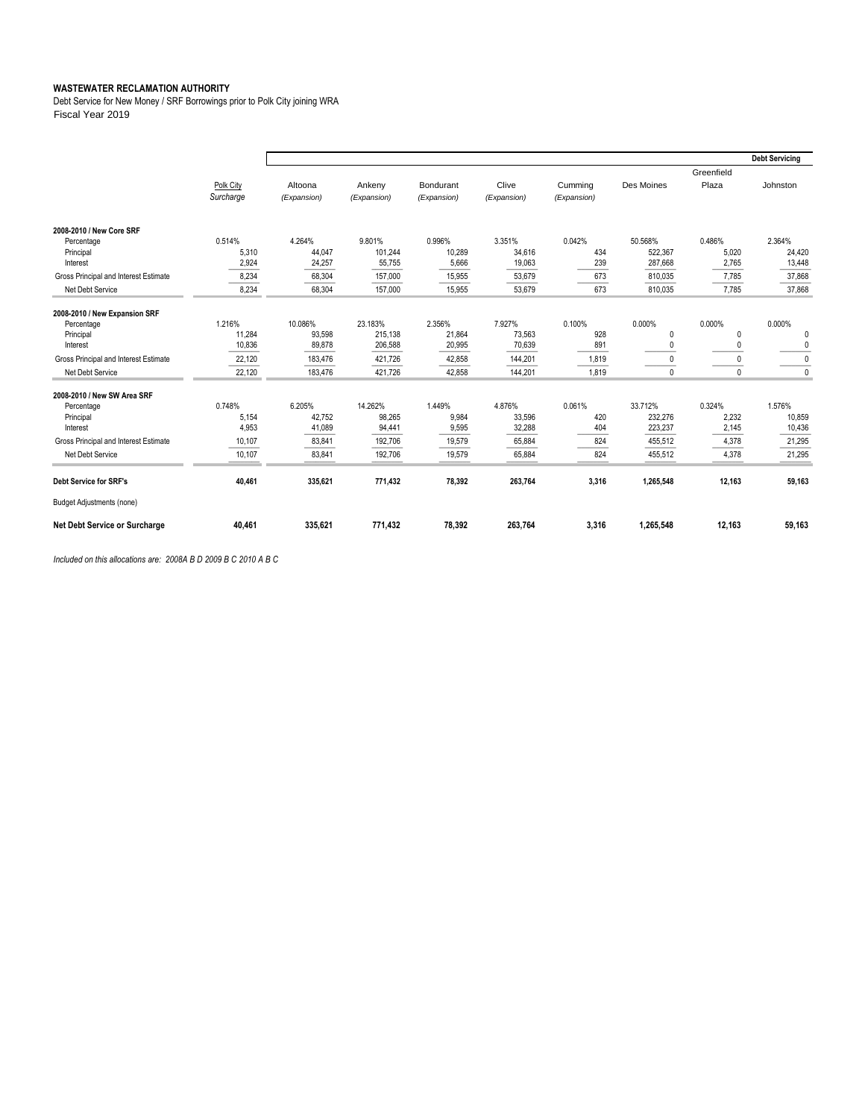Debt Service for New Money / SRF Borrowings prior to Polk City joining WRA Fiscal Year 2019

|                                       |           |             |             |             |             |             |            |              | <b>Debt Servicing</b> |
|---------------------------------------|-----------|-------------|-------------|-------------|-------------|-------------|------------|--------------|-----------------------|
|                                       |           |             |             |             |             |             |            | Greenfield   |                       |
|                                       | Polk City | Altoona     | Ankeny      | Bondurant   | Clive       | Cumming     | Des Moines | Plaza        | Johnston              |
|                                       | Surcharge | (Expansion) | (Expansion) | (Expansion) | (Expansion) | (Expansion) |            |              |                       |
|                                       |           |             |             |             |             |             |            |              |                       |
| 2008-2010 / New Core SRF              |           |             |             |             |             |             |            |              |                       |
| Percentage                            | 0.514%    | 4.264%      | 9.801%      | 0.996%      | 3.351%      | 0.042%      | 50.568%    | 0.486%       | 2.364%                |
| Principal                             | 5,310     | 44.047      | 101,244     | 10.289      | 34,616      | 434         | 522.367    | 5,020        | 24,420                |
| Interest                              | 2,924     | 24,257      | 55,755      | 5,666       | 19,063      | 239         | 287,668    | 2,765        | 13,448                |
| Gross Principal and Interest Estimate | 8,234     | 68,304      | 157,000     | 15,955      | 53,679      | 673         | 810,035    | 7,785        | 37,868                |
| Net Debt Service                      | 8,234     | 68,304      | 157,000     | 15.955      | 53,679      | 673         | 810,035    | 7.785        | 37,868                |
| 2008-2010 / New Expansion SRF         |           |             |             |             |             |             |            |              |                       |
| Percentage                            | 1.216%    | 10.086%     | 23.183%     | 2.356%      | 7.927%      | 0.100%      | 0.000%     | 0.000%       | 0.000%                |
| Principal                             | 11,284    | 93,598      | 215,138     | 21,864      | 73,563      | 928         | 0          | $\theta$     | 0                     |
| Interest                              | 10,836    | 89,878      | 206,588     | 20,995      | 70,639      | 891         |            | $\theta$     | 0                     |
| Gross Principal and Interest Estimate | 22.120    | 183.476     | 421.726     | 42.858      | 144,201     | 1,819       |            | $\Omega$     | $\mathbf 0$           |
| Net Debt Service                      | 22,120    | 183,476     | 421,726     | 42,858      | 144,201     | 1,819       |            | $\mathbf{0}$ | $\mathbf 0$           |
| 2008-2010 / New SW Area SRF           |           |             |             |             |             |             |            |              |                       |
| Percentage                            | 0.748%    | 6.205%      | 14.262%     | 1.449%      | 4.876%      | 0.061%      | 33.712%    | 0.324%       | 1.576%                |
| Principal                             | 5,154     | 42.752      | 98,265      | 9,984       | 33,596      | 420         | 232,276    | 2,232        | 10,859                |
| Interest                              | 4,953     | 41,089      | 94,441      | 9,595       | 32,288      | 404         | 223,237    | 2,145        | 10,436                |
| Gross Principal and Interest Estimate | 10,107    | 83,841      | 192,706     | 19,579      | 65,884      | 824         | 455,512    | 4,378        | 21,295                |
| Net Debt Service                      | 10,107    | 83,841      | 192,706     | 19,579      | 65,884      | 824         | 455,512    | 4,378        | 21,295                |
| <b>Debt Service for SRF's</b>         | 40,461    | 335,621     | 771,432     | 78,392      | 263,764     | 3,316       | 1,265,548  | 12,163       | 59,163                |
| <b>Budget Adjustments (none)</b>      |           |             |             |             |             |             |            |              |                       |
| Net Debt Service or Surcharge         | 40,461    | 335,621     | 771,432     | 78,392      | 263,764     | 3,316       | 1,265,548  | 12,163       | 59,163                |

*Included on this allocations are: 2008A B D 2009 B C 2010 A B C*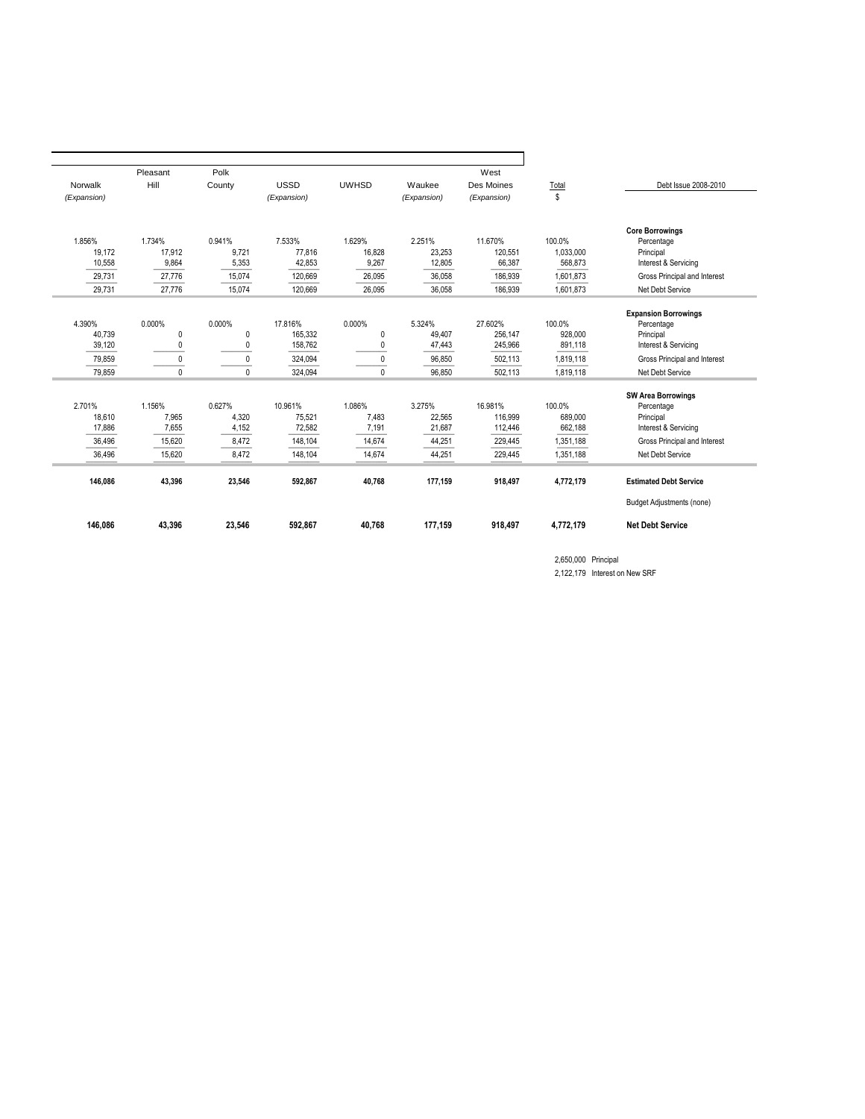| Norwalk<br>(Expansion) | Pleasant<br>Hill<br>1.734%<br>17,912 | Polk<br>County<br>0.941% | <b>USSD</b><br>(Expansion) | <b>UWHSD</b> | Waukee<br>(Expansion) | West<br>Des Moines<br>(Expansion) | Total<br>\$ | Debt Issue 2008-2010                      |
|------------------------|--------------------------------------|--------------------------|----------------------------|--------------|-----------------------|-----------------------------------|-------------|-------------------------------------------|
|                        |                                      |                          |                            |              |                       |                                   |             |                                           |
|                        |                                      |                          |                            |              |                       |                                   |             |                                           |
|                        |                                      |                          |                            |              |                       |                                   |             |                                           |
|                        |                                      |                          |                            |              |                       |                                   |             |                                           |
| 1.856%                 |                                      |                          | 7.533%                     | 1.629%       | 2.251%                | 11.670%                           | 100.0%      | <b>Core Borrowings</b><br>Percentage      |
| 19,172                 |                                      | 9,721                    | 77,816                     | 16,828       | 23,253                | 120,551                           | 1,033,000   | Principal                                 |
| 10,558                 | 9,864                                | 5,353                    | 42,853                     | 9,267        | 12,805                | 66,387                            | 568,873     | Interest & Servicing                      |
| 29,731                 | 27,776                               | 15,074                   | 120,669                    | 26,095       | 36,058                | 186,939                           | 1,601,873   | Gross Principal and Interest              |
| 29.731                 | 27.776                               | 15.074                   | 120.669                    | 26.095       | 36.058                | 186.939                           | 1.601.873   | Net Debt Service                          |
|                        |                                      |                          |                            |              |                       |                                   |             |                                           |
| 4.390%                 | 0.000%                               | 0.000%                   | 17.816%                    | 0.000%       | 5.324%                | 27.602%                           | 100.0%      | <b>Expansion Borrowings</b><br>Percentage |
| 40,739                 | $\mathbf{0}$                         | $\mathbf 0$              | 165,332                    | $\mathbf{0}$ | 49,407                | 256,147                           | 928,000     | Principal                                 |
| 39,120                 | $\mathbf{0}$                         | $\Omega$                 | 158,762                    | $\Omega$     | 47,443                | 245,966                           | 891,118     | Interest & Servicing                      |
| 79,859                 | 0                                    | $\Omega$                 | 324,094                    | 0            | 96,850                | 502,113                           | 1,819,118   | Gross Principal and Interest              |
| 79,859                 | $\mathbf{0}$                         | $\mathbf{0}$             | 324,094                    | $\Omega$     | 96,850                | 502,113                           | 1,819,118   | Net Debt Service                          |
|                        |                                      |                          |                            |              |                       |                                   |             | <b>SW Area Borrowings</b>                 |
| 2.701%                 | 1.156%                               | 0.627%                   | 10.961%                    | 1.086%       | 3.275%                | 16.981%                           | 100.0%      | Percentage                                |
| 18,610                 | 7,965                                | 4,320                    | 75,521                     | 7,483        | 22,565                | 116.999                           | 689,000     | Principal                                 |
| 17,886                 | 7,655                                | 4,152                    | 72,582                     | 7,191        | 21,687                | 112,446                           | 662,188     | Interest & Servicing                      |
| 36,496                 | 15,620                               | 8,472                    | 148,104                    | 14,674       | 44,251                | 229,445                           | 1,351,188   | Gross Principal and Interest              |
| 36,496                 | 15,620                               | 8,472                    | 148,104                    | 14,674       | 44,251                | 229,445                           | 1,351,188   | Net Debt Service                          |
| 146,086                | 43,396                               | 23,546                   | 592,867                    | 40,768       | 177,159               | 918,497                           | 4,772,179   | <b>Estimated Debt Service</b>             |
|                        |                                      |                          |                            |              |                       |                                   |             | <b>Budget Adjustments (none)</b>          |
| 146,086                | 43,396                               | 23,546                   | 592,867                    | 40,768       | 177,159               | 918,497                           | 4,772,179   | <b>Net Debt Service</b>                   |

2,650,000 Principal

2,122,179 Interest on New SRF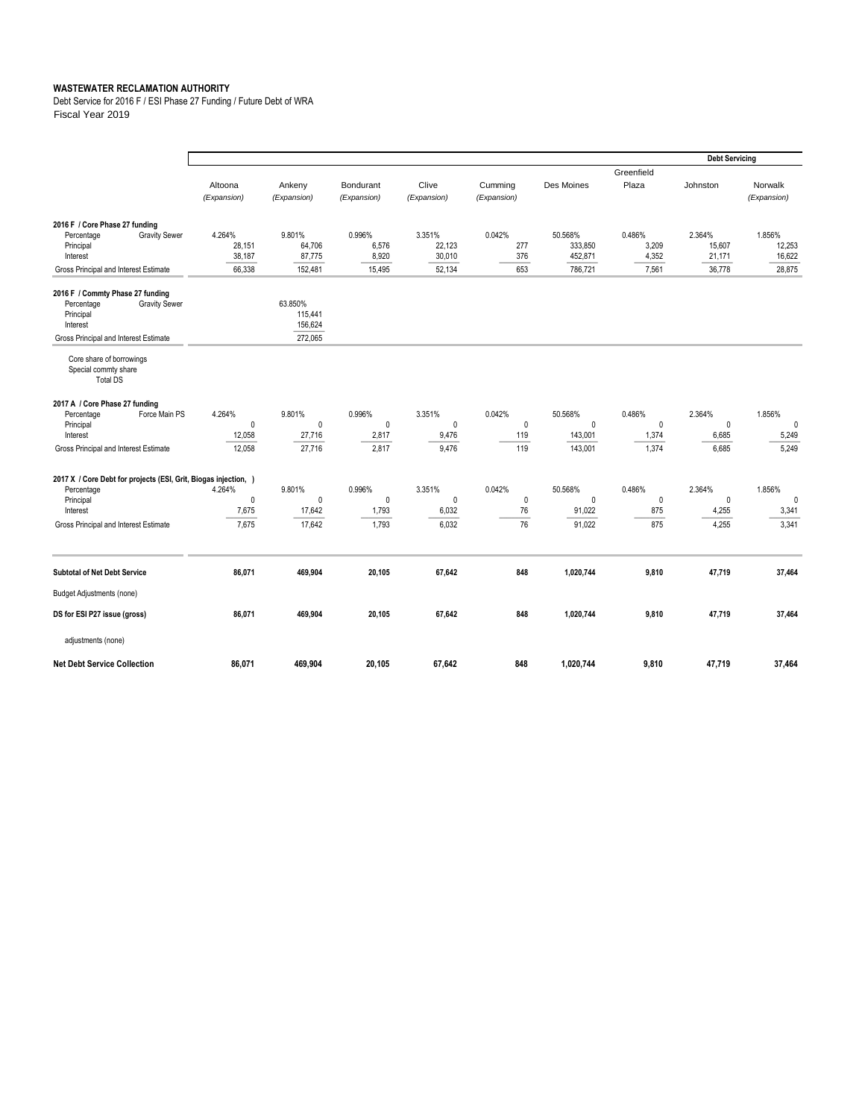Debt Service for 2016 F / ESI Phase 27 Funding / Future Debt of WRA Fiscal Year 2019

|                                                                                                                                                 |                                       |                                            |                                          |                                          |                             |                                             |                                   | <b>Debt Servicing</b>                   |                                         |
|-------------------------------------------------------------------------------------------------------------------------------------------------|---------------------------------------|--------------------------------------------|------------------------------------------|------------------------------------------|-----------------------------|---------------------------------------------|-----------------------------------|-----------------------------------------|-----------------------------------------|
|                                                                                                                                                 | Altoona<br>(Expansion)                | Ankeny<br>(Expansion)                      | Bondurant<br>(Expansion)                 | Clive<br>(Expansion)                     | Cumming<br>(Expansion)      | Des Moines                                  | Greenfield<br>Plaza               | Johnston                                | Norwalk<br>(Expansion)                  |
| 2016 F / Core Phase 27 funding<br><b>Gravity Sewer</b><br>Percentage<br>Principal<br>Interest<br>Gross Principal and Interest Estimate          | 4.264%<br>28,151<br>38,187<br>66,338  | 9.801%<br>64,706<br>87,775<br>152,481      | 0.996%<br>6,576<br>8,920<br>15,495       | 3.351%<br>22,123<br>30,010<br>52,134     | 0.042%<br>277<br>376<br>653 | 50.568%<br>333,850<br>452,871<br>786,721    | 0.486%<br>3,209<br>4,352<br>7,561 | 2.364%<br>15,607<br>21,171<br>36,778    | 1.856%<br>12,253<br>16,622<br>28,875    |
| 2016 F / Commty Phase 27 funding<br><b>Gravity Sewer</b><br>Percentage<br>Principal<br>Interest<br>Gross Principal and Interest Estimate        |                                       | 63.850%<br>115.441<br>156,624<br>272,065   |                                          |                                          |                             |                                             |                                   |                                         |                                         |
| Core share of borrowings<br>Special commty share<br><b>Total DS</b>                                                                             |                                       |                                            |                                          |                                          |                             |                                             |                                   |                                         |                                         |
| 2017 A / Core Phase 27 funding<br>Percentage<br>Force Main PS<br>Principal<br>Interest<br>Gross Principal and Interest Estimate                 | 4.264%<br>0<br>12,058<br>12,058       | 9.801%<br>$\mathbf 0$<br>27,716<br>27,716  | 0.996%<br>$\mathbf{0}$<br>2,817<br>2,817 | 3.351%<br>$\mathbf{0}$<br>9,476<br>9,476 | 0.042%<br>0<br>119<br>119   | 50.568%<br>0<br>143,001<br>143.001          | 0.486%<br>0<br>1,374<br>1,374     | 2.364%<br>$\mathbf 0$<br>6,685<br>6,685 | 1.856%<br>$\mathbf 0$<br>5,249<br>5,249 |
| 2017 X / Core Debt for projects (ESI, Grit, Biogas injection, )<br>Percentage<br>Principal<br>Interest<br>Gross Principal and Interest Estimate | 4.264%<br>$\pmb{0}$<br>7,675<br>7,675 | 9.801%<br>$\mathbf{0}$<br>17,642<br>17,642 | 0.996%<br>$\mathbf{0}$<br>1,793<br>1,793 | 3.351%<br>$\mathbf{0}$<br>6,032<br>6,032 | 0.042%<br>0<br>76<br>76     | 50.568%<br>$\mathbf{0}$<br>91,022<br>91,022 | 0.486%<br>$\pmb{0}$<br>875<br>875 | 2.364%<br>$\mathbf 0$<br>4,255<br>4,255 | 1.856%<br>$\mathbf 0$<br>3,341<br>3,341 |
| <b>Subtotal of Net Debt Service</b>                                                                                                             | 86,071                                | 469,904                                    | 20,105                                   | 67,642                                   | 848                         | 1,020,744                                   | 9,810                             | 47,719                                  | 37,464                                  |
| <b>Budget Adjustments (none)</b>                                                                                                                |                                       |                                            |                                          |                                          |                             |                                             |                                   |                                         |                                         |
| DS for ESI P27 issue (gross)                                                                                                                    | 86,071                                | 469.904                                    | 20.105                                   | 67,642                                   | 848                         | 1,020,744                                   | 9,810                             | 47,719                                  | 37,464                                  |
| adjustments (none)                                                                                                                              |                                       |                                            |                                          |                                          |                             |                                             |                                   |                                         |                                         |
| <b>Net Debt Service Collection</b>                                                                                                              | 86,071                                | 469,904                                    | 20,105                                   | 67,642                                   | 848                         | 1,020,744                                   | 9,810                             | 47,719                                  | 37,464                                  |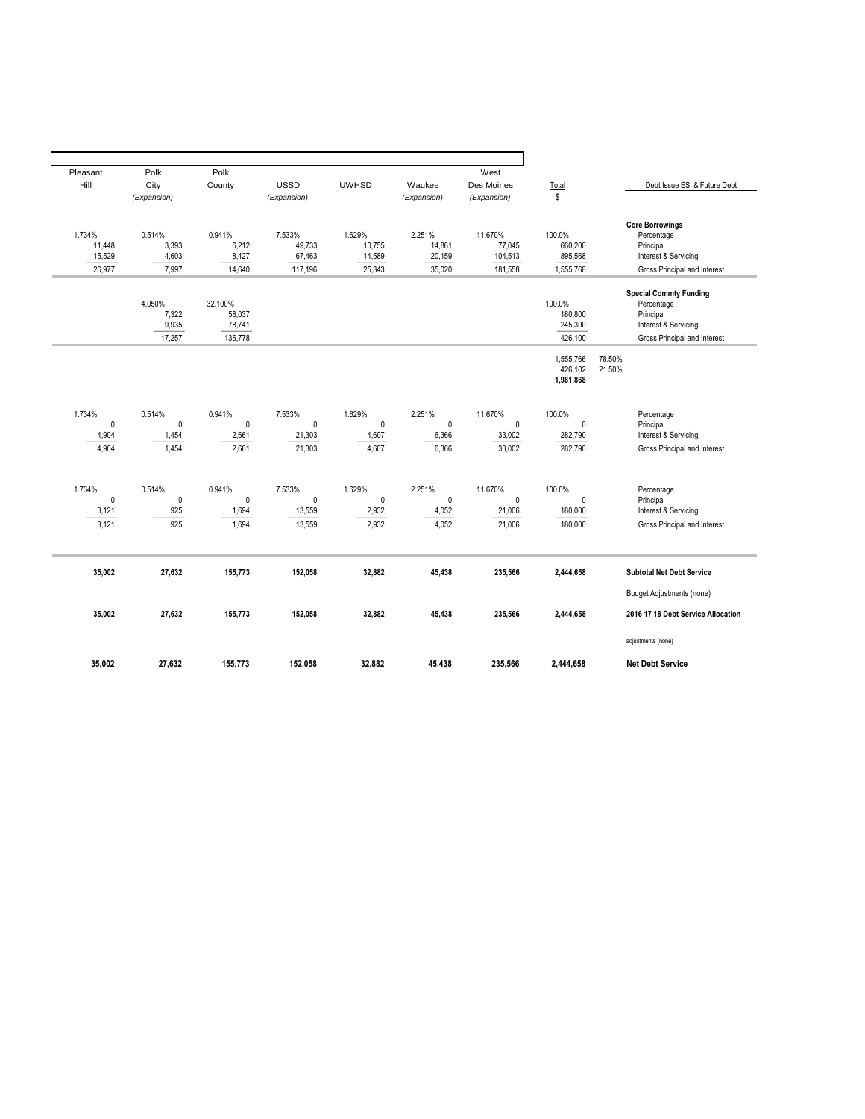| Pleasant     | Polk                   | Polk        |                        |                       |              | West                   |                        |                                    |
|--------------|------------------------|-------------|------------------------|-----------------------|--------------|------------------------|------------------------|------------------------------------|
| Hill         | City                   | County      | <b>USSD</b>            | <b>UWHSD</b>          | Waukee       | Des Moines             | Total                  | Debt Issue ESI & Future Debt       |
|              | (Expansion)            |             | (Expansion)            |                       | (Expansion)  | (Expansion)            | \$                     |                                    |
|              |                        |             |                        |                       |              |                        |                        |                                    |
|              |                        |             |                        |                       |              |                        |                        | <b>Core Borrowings</b>             |
| 1.734%       | 0.514%                 | 0.941%      | 7.533%                 | 1.629%                | 2.251%       | 11.670%                | 100.0%                 | Percentage                         |
| 11.448       | 3,393                  | 6,212       | 49,733                 | 10,755                | 14,861       | 77.045                 | 660,200                | Principal                          |
| 15,529       | 4,603                  | 8,427       | 67,463                 | 14,589                | 20,159       | 104,513                | 895,568                | Interest & Servicing               |
| 26,977       | 7,997                  | 14,640      | 117,196                | 25,343                | 35,020       | 181,558                | 1,555,768              | Gross Principal and Interest       |
|              |                        |             |                        |                       |              |                        |                        |                                    |
|              |                        |             |                        |                       |              |                        |                        | <b>Special Commty Funding</b>      |
|              | 4.050%                 | 32.100%     |                        |                       |              |                        | 100.0%                 | Percentage                         |
|              | 7,322                  | 58,037      |                        |                       |              |                        | 180,800                | Principal                          |
|              | 9,935                  | 78,741      |                        |                       |              |                        | 245,300                | Interest & Servicing               |
|              | 17,257                 | 136,778     |                        |                       |              |                        | 426,100                | Gross Principal and Interest       |
|              |                        |             |                        |                       |              |                        | 1,555,766              | 78.50%                             |
|              |                        |             |                        |                       |              |                        | 426,102                | 21.50%                             |
|              |                        |             |                        |                       |              |                        | 1,981,868              |                                    |
|              |                        |             |                        |                       |              |                        |                        |                                    |
|              |                        |             |                        |                       |              |                        |                        |                                    |
| 1.734%<br>0  | 0.514%<br>$\mathbf{0}$ | 0.941%<br>0 | 7.533%<br>$\mathbf{0}$ | 1.629%<br>$\mathbf 0$ | 2.251%<br>0  | 11.670%<br>$\mathbf 0$ | 100.0%<br>$\mathbf{0}$ | Percentage<br>Principal            |
| 4,904        | 1,454                  | 2,661       | 21,303                 | 4,607                 | 6,366        | 33,002                 | 282,790                | Interest & Servicing               |
|              |                        |             |                        |                       |              |                        |                        |                                    |
| 4,904        | 1,454                  | 2,661       | 21,303                 | 4,607                 | 6,366        | 33,002                 | 282,790                | Gross Principal and Interest       |
|              |                        |             |                        |                       |              |                        |                        |                                    |
|              |                        |             |                        |                       |              |                        |                        |                                    |
| 1.734%       | 0.514%                 | 0.941%      | 7.533%                 | 1.629%                | 2.251%       | 11.670%                | 100.0%                 | Percentage                         |
| $\mathbf{0}$ | $\pmb{0}$              | $\mathbf 0$ | $\mathbf{0}$           | $\mathbf{0}$          | $\mathbf{0}$ | $\mathbf 0$            | $\mathbf{0}$           | Principal                          |
| 3,121        | 925                    | 1,694       | 13,559                 | 2,932                 | 4,052        | 21,006                 | 180,000                | Interest & Servicing               |
| 3,121        | 925                    | 1,694       | 13,559                 | 2,932                 | 4,052        | 21,006                 | 180,000                | Gross Principal and Interest       |
|              |                        |             |                        |                       |              |                        |                        |                                    |
|              |                        |             |                        |                       |              |                        |                        |                                    |
| 35.002       | 27,632                 | 155.773     | 152,058                | 32,882                | 45,438       | 235,566                | 2,444,658              | <b>Subtotal Net Debt Service</b>   |
|              |                        |             |                        |                       |              |                        |                        | <b>Budget Adjustments (none)</b>   |
|              |                        |             |                        |                       |              |                        |                        |                                    |
| 35,002       | 27,632                 | 155,773     | 152,058                | 32,882                | 45,438       | 235,566                | 2,444,658              | 2016 17 18 Debt Service Allocation |
|              |                        |             |                        |                       |              |                        |                        | adjustments (none)                 |
|              |                        |             |                        |                       |              |                        |                        |                                    |
| 35,002       | 27,632                 | 155,773     | 152,058                | 32,882                | 45,438       | 235,566                | 2,444,658              | <b>Net Debt Service</b>            |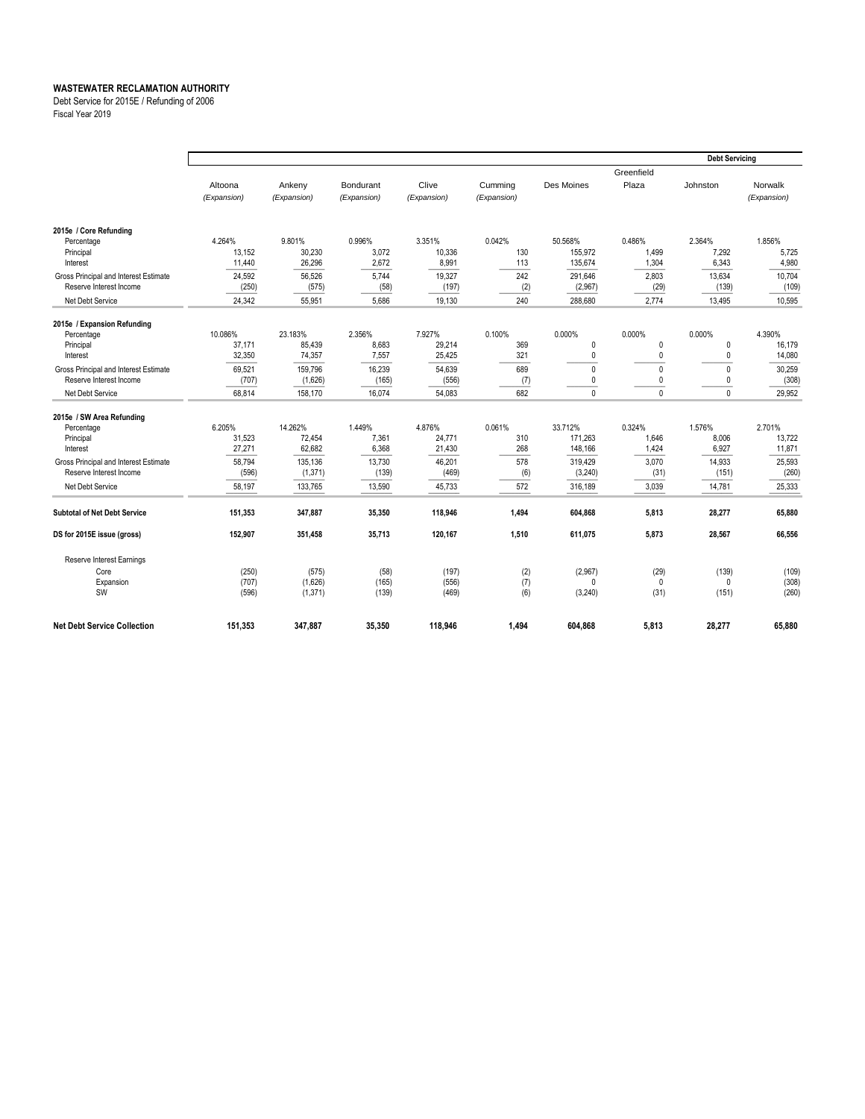Debt Service for 2015E / Refunding of 2006

Fiscal Year 2019

|                                                                  |                            |                            |                          |                           |                      |                               |                          | <b>Debt Servicing</b>    |                          |
|------------------------------------------------------------------|----------------------------|----------------------------|--------------------------|---------------------------|----------------------|-------------------------------|--------------------------|--------------------------|--------------------------|
|                                                                  | Altoona                    | Ankeny                     | Bondurant                | Clive                     | Cumming              | Des Moines                    | Greenfield<br>Plaza      | Johnston                 | Norwalk                  |
|                                                                  | (Expansion)                | (Expansion)                | (Expansion)              | (Expansion)               | (Expansion)          |                               |                          |                          | (Expansion)              |
| 2015e / Core Refunding                                           |                            |                            |                          |                           |                      |                               |                          |                          |                          |
| Percentage<br>Principal<br>Interest                              | 4.264%<br>13,152<br>11,440 | 9.801%<br>30,230<br>26,296 | 0.996%<br>3,072<br>2,672 | 3.351%<br>10,336<br>8,991 | 0.042%<br>130<br>113 | 50.568%<br>155.972<br>135,674 | 0.486%<br>1,499<br>1,304 | 2.364%<br>7.292<br>6,343 | 1.856%<br>5,725<br>4,980 |
| Gross Principal and Interest Estimate<br>Reserve Interest Income | 24,592<br>(250)            | 56,526<br>(575)            | 5,744<br>(58)            | 19,327<br>(197)           | 242<br>(2)           | 291.646<br>(2,967)            | 2,803<br>(29)            | 13,634<br>(139)          | 10,704<br>(109)          |
| Net Debt Service                                                 | 24,342                     | 55.951                     | 5.686                    | 19,130                    | 240                  | 288.680                       | 2.774                    | 13,495                   | 10,595                   |
| 2015e / Expansion Refunding                                      |                            |                            |                          |                           |                      |                               |                          |                          |                          |
| Percentage<br>Principal                                          | 10.086%<br>37,171          | 23.183%<br>85,439          | 2.356%<br>8,683          | 7.927%<br>29,214          | 0.100%<br>369        | 0.000%<br>0                   | 0.000%<br>0              | 0.000%<br>$\mathbf{0}$   | 4.390%<br>16,179         |
| Interest                                                         | 32,350                     | 74,357                     | 7,557                    | 25,425                    | 321                  | 0                             | 0                        | 0                        | 14,080                   |
| Gross Principal and Interest Estimate                            | 69,521                     | 159,796                    | 16,239                   | 54,639                    | 689                  | $\mathbf{0}$                  | $\mathbf{0}$             | $\mathbf 0$              | 30,259                   |
| Reserve Interest Income                                          | (707)                      | (1,626)                    | (165)                    | (556)                     | (7)                  | 0                             | 0                        | 0                        | (308)                    |
| Net Debt Service                                                 | 68,814                     | 158,170                    | 16,074                   | 54,083                    | 682                  | $\mathbf{0}$                  | $\Omega$                 | $\mathbf{0}$             | 29,952                   |
| 2015e / SW Area Refunding                                        |                            |                            |                          |                           |                      |                               |                          |                          |                          |
| Percentage                                                       | 6.205%                     | 14.262%                    | 1.449%                   | 4.876%                    | 0.061%               | 33.712%                       | 0.324%                   | 1.576%                   | 2.701%                   |
| Principal                                                        | 31,523                     | 72.454                     | 7,361                    | 24,771                    | 310                  | 171.263                       | 1.646                    | 8,006                    | 13,722                   |
| Interest                                                         | 27,271                     | 62,682                     | 6,368                    | 21,430                    | 268                  | 148,166                       | 1,424                    | 6,927                    | 11,871                   |
| Gross Principal and Interest Estimate                            | 58.794                     | 135,136                    | 13,730                   | 46,201                    | 578                  | 319,429                       | 3,070                    | 14,933                   | 25,593                   |
| Reserve Interest Income                                          | (596)                      | (1, 371)                   | (139)                    | (469)                     | (6)                  | (3,240)                       | (31)                     | (151)                    | (260)                    |
| Net Debt Service                                                 | 58,197                     | 133,765                    | 13,590                   | 45,733                    | 572                  | 316,189                       | 3,039                    | 14,781                   | 25,333                   |
| <b>Subtotal of Net Debt Service</b>                              | 151,353                    | 347,887                    | 35,350                   | 118,946                   | 1,494                | 604,868                       | 5,813                    | 28,277                   | 65,880                   |
| DS for 2015E issue (gross)                                       | 152,907                    | 351,458                    | 35,713                   | 120,167                   | 1,510                | 611,075                       | 5,873                    | 28,567                   | 66,556                   |
| Reserve Interest Earnings                                        |                            |                            |                          |                           |                      |                               |                          |                          |                          |
| Core                                                             | (250)                      | (575)                      | (58)                     | (197)                     | (2)                  | (2,967)                       | (29)                     | (139)                    | (109)                    |
| Expansion<br>SW                                                  | (707)<br>(596)             | (1,626)<br>(1, 371)        | (165)<br>(139)           | (556)<br>(469)            | (7)<br>(6)           | $\Omega$<br>(3,240)           | $\mathbf{0}$<br>(31)     | $\Omega$<br>(151)        | (308)<br>(260)           |
| <b>Net Debt Service Collection</b>                               | 151,353                    | 347,887                    | 35,350                   | 118,946                   | 1,494                | 604,868                       | 5,813                    | 28,277                   | 65,880                   |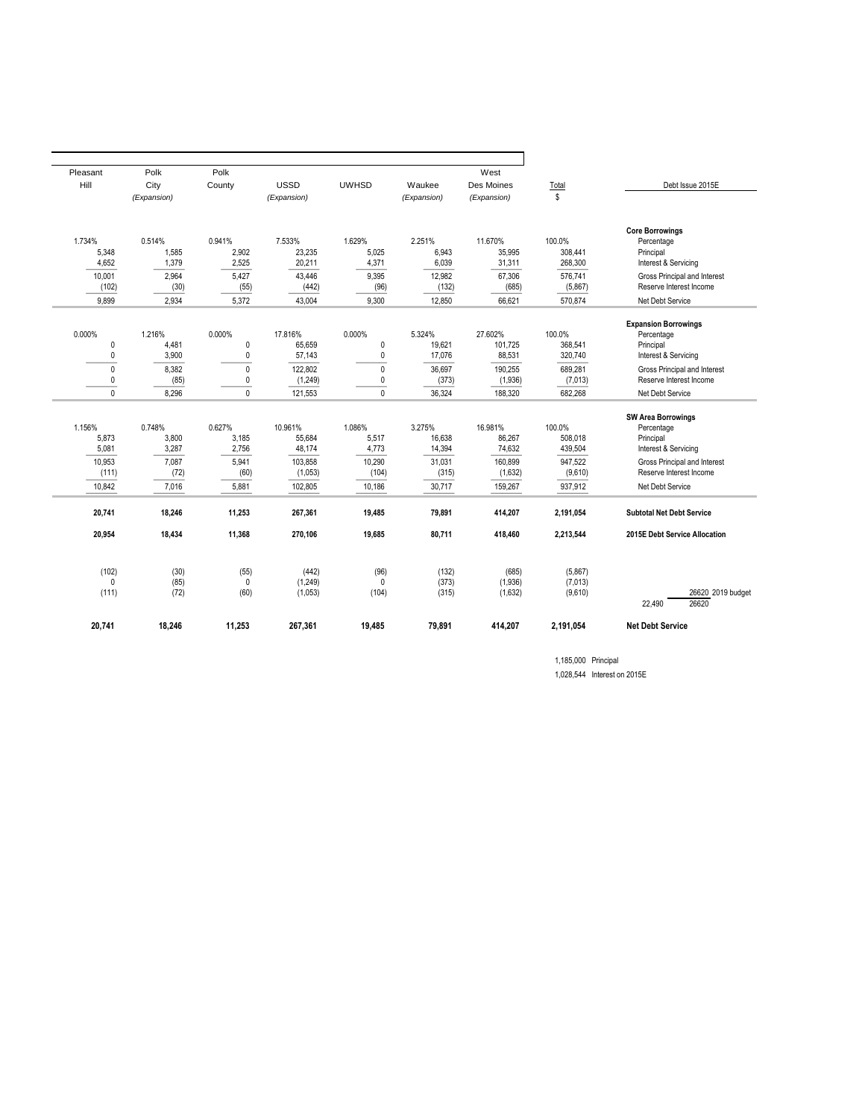| Pleasant          | Polk           | Polk                     |                     |                             |                  | West               |                    |                                                         |
|-------------------|----------------|--------------------------|---------------------|-----------------------------|------------------|--------------------|--------------------|---------------------------------------------------------|
| Hill              | City           | County                   | <b>USSD</b>         | <b>UWHSD</b>                | Waukee           | Des Moines         | Total              | Debt Issue 2015E                                        |
|                   | (Expansion)    |                          | (Expansion)         |                             | (Expansion)      | (Expansion)        | \$                 |                                                         |
|                   |                |                          |                     |                             |                  |                    |                    | <b>Core Borrowings</b>                                  |
| 1.734%            | 0.514%         | 0.941%                   | 7.533%              | 1.629%                      | 2.251%           | 11.670%            | 100.0%             | Percentage                                              |
| 5.348             | 1.585          | 2,902                    | 23,235              | 5.025                       | 6.943            | 35.995             | 308.441            | Principal                                               |
| 4,652             | 1,379          | 2,525                    | 20,211              | 4,371                       | 6,039            | 31,311             | 268,300            | Interest & Servicing                                    |
| 10.001            | 2.964          | 5.427                    | 43.446              | 9.395                       | 12.982           | 67.306             | 576.741            | Gross Principal and Interest                            |
| (102)             | (30)           | (55)                     | (442)               | (96)                        | (132)            | (685)              | (5,867)            | Reserve Interest Income                                 |
| 9.899             | 2.934          | 5.372                    | 43.004              | 9.300                       | 12.850           | 66.621             | 570.874            | Net Debt Service                                        |
|                   |                |                          |                     |                             |                  |                    |                    |                                                         |
|                   |                |                          |                     |                             |                  |                    |                    | <b>Expansion Borrowings</b>                             |
| 0.000%            | 1.216%         | 0.000%                   | 17.816%             | 0.000%                      | 5.324%           | 27.602%            | 100.0%             | Percentage                                              |
| 0<br>0            | 4.481<br>3,900 | $\mathbf 0$<br>$\pmb{0}$ | 65,659<br>57,143    | $\mathbf 0$<br>$\pmb{0}$    | 19.621<br>17,076 | 101.725<br>88,531  | 368.541<br>320,740 | Principal<br>Interest & Servicing                       |
|                   |                |                          |                     |                             |                  |                    |                    |                                                         |
| $\mathbf{0}$<br>0 | 8,382          | $\Omega$<br>0            | 122,802             | $\mathbf{0}$<br>$\mathbf 0$ | 36,697<br>(373)  | 190,255            | 689,281            | Gross Principal and Interest<br>Reserve Interest Income |
| 0                 | (85)<br>8.296  | $\mathbf{0}$             | (1, 249)<br>121,553 | $\mathbf 0$                 | 36,324           | (1,936)<br>188.320 | (7,013)<br>682,268 | Net Debt Service                                        |
|                   |                |                          |                     |                             |                  |                    |                    |                                                         |
|                   |                |                          |                     |                             |                  |                    |                    | <b>SW Area Borrowings</b>                               |
| 1.156%            | 0.748%         | 0.627%                   | 10.961%             | 1.086%                      | 3.275%           | 16.981%            | 100.0%             | Percentage                                              |
| 5.873             | 3.800          | 3.185                    | 55.684              | 5.517                       | 16.638           | 86.267             | 508.018            | Principal                                               |
| 5,081             | 3,287          | 2,756                    | 48,174              | 4,773                       | 14,394           | 74.632             | 439,504            | Interest & Servicing                                    |
| 10.953            | 7.087          | 5,941                    | 103,858             | 10,290                      | 31,031           | 160,899            | 947,522            | Gross Principal and Interest                            |
| (111)             | (72)           | (60)                     | (1,053)             | (104)                       | (315)            | (1,632)            | (9,610)            | Reserve Interest Income                                 |
| 10.842            | 7,016          | 5,881                    | 102,805             | 10,186                      | 30,717           | 159,267            | 937,912            | Net Debt Service                                        |
| 20,741            | 18,246         | 11,253                   | 267,361             | 19,485                      | 79,891           | 414,207            | 2,191,054          | <b>Subtotal Net Debt Service</b>                        |
| 20,954            | 18,434         | 11,368                   | 270,106             | 19,685                      | 80,711           | 418,460            | 2,213,544          | 2015E Debt Service Allocation                           |
|                   |                |                          |                     |                             |                  |                    |                    |                                                         |
| (102)             | (30)           | (55)                     | (442)               | (96)                        | (132)            | (685)              | (5,867)            |                                                         |
| 0                 | (85)           | $\mathbf 0$              | (1,249)             | $\mathbf{0}$                | (373)            | (1,936)            | (7,013)            |                                                         |
| (111)             | (72)           | (60)                     | (1,053)             | (104)                       | (315)            | (1,632)            | (9,610)            | 26620 2019 budget<br>26620                              |
|                   |                |                          |                     |                             |                  |                    |                    | 22,490                                                  |
| 20,741            | 18,246         | 11,253                   | 267,361             | 19,485                      | 79,891           | 414,207            | 2,191,054          | <b>Net Debt Service</b>                                 |
|                   |                |                          |                     |                             |                  |                    |                    |                                                         |

1,185,000 Principal 1,028,544 Interest on 2015E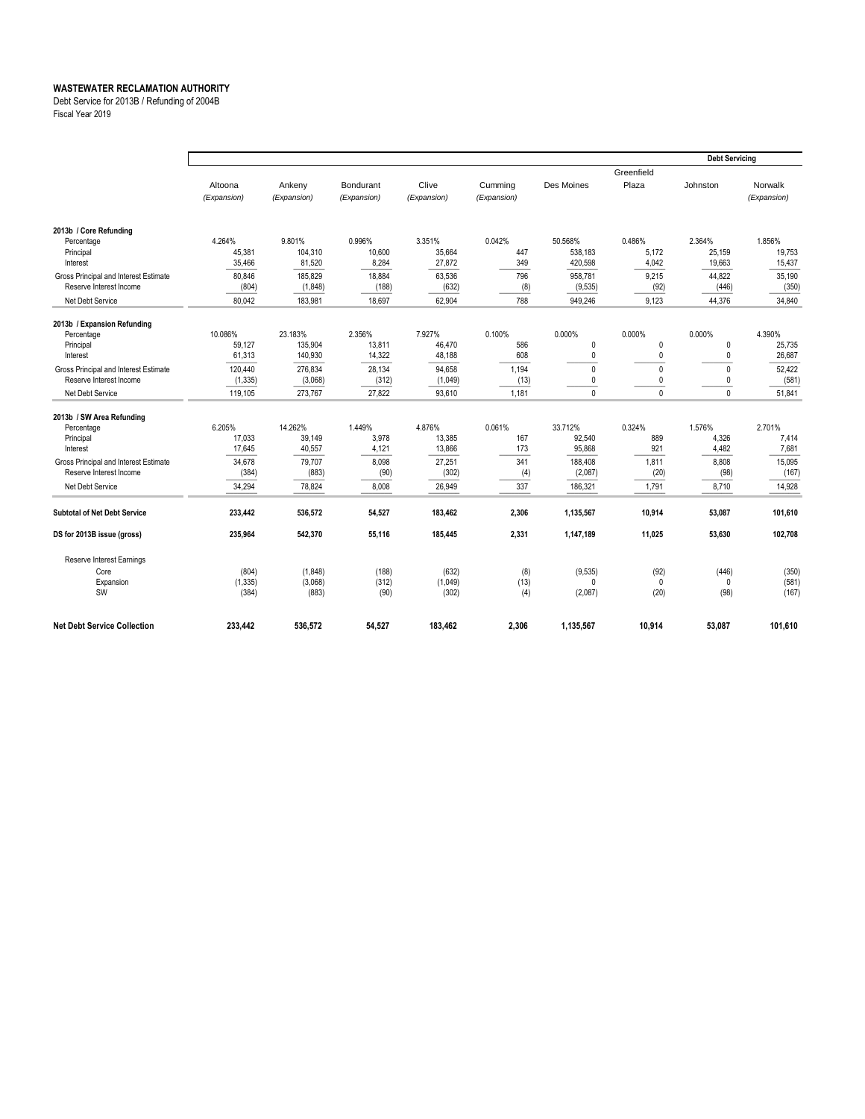Debt Service for 2013B / Refunding of 2004B

Fiscal Year 2019

|                                       |             |             |             |             |             |              |              | <b>Debt Servicing</b> |             |
|---------------------------------------|-------------|-------------|-------------|-------------|-------------|--------------|--------------|-----------------------|-------------|
|                                       |             |             |             |             |             |              | Greenfield   |                       |             |
|                                       | Altoona     | Ankeny      | Bondurant   | Clive       | Cumming     | Des Moines   | Plaza        | Johnston              | Norwalk     |
|                                       | (Expansion) | (Expansion) | (Expansion) | (Expansion) | (Expansion) |              |              |                       | (Expansion) |
|                                       |             |             |             |             |             |              |              |                       |             |
| 2013b / Core Refunding                |             |             |             |             |             |              |              |                       |             |
| Percentage                            | 4.264%      | 9.801%      | 0.996%      | 3.351%      | 0.042%      | 50.568%      | 0.486%       | 2.364%                | 1.856%      |
| Principal                             | 45,381      | 104.310     | 10.600      | 35.664      | 447         | 538.183      | 5.172        | 25.159                | 19.753      |
| Interest                              | 35,466      | 81,520      | 8,284       | 27,872      | 349         | 420,598      | 4,042        | 19,663                | 15,437      |
| Gross Principal and Interest Estimate | 80.846      | 185.829     | 18,884      | 63,536      | 796         | 958,781      | 9,215        | 44,822                | 35,190      |
| Reserve Interest Income               | (804)       | (1,848)     | (188)       | (632)       | (8)         | (9,535)      | (92)         | (446)                 | (350)       |
| Net Debt Service                      | 80,042      | 183,981     | 18,697      | 62,904      | 788         | 949,246      | 9,123        | 44,376                | 34,840      |
| 2013b / Expansion Refunding           |             |             |             |             |             |              |              |                       |             |
| Percentage                            | 10.086%     | 23.183%     | 2.356%      | 7.927%      | 0.100%      | 0.000%       | 0.000%       | 0.000%                | 4.390%      |
| Principal                             | 59,127      | 135,904     | 13,811      | 46.470      | 586         | 0            | $\mathbf 0$  | $\mathbf 0$           | 25,735      |
| Interest                              | 61,313      | 140,930     | 14,322      | 48,188      | 608         | 0            | 0            | $\mathbf 0$           | 26,687      |
| Gross Principal and Interest Estimate | 120,440     | 276,834     | 28,134      | 94,658      | 1,194       | $\mathbf{0}$ | 0            | $\mathbf{0}$          | 52,422      |
| Reserve Interest Income               | (1, 335)    | (3,068)     | (312)       | (1,049)     | (13)        | 0            | 0            | 0                     | (581)       |
| Net Debt Service                      | 119,105     | 273,767     | 27,822      | 93,610      | 1,181       | $\mathbf{0}$ | $\mathbf{0}$ | $\mathbf{0}$          | 51,841      |
| 2013b / SW Area Refunding             |             |             |             |             |             |              |              |                       |             |
| Percentage                            | 6.205%      | 14.262%     | 1.449%      | 4.876%      | 0.061%      | 33.712%      | 0.324%       | 1.576%                | 2.701%      |
| Principal                             | 17,033      | 39,149      | 3,978       | 13,385      | 167         | 92,540       | 889          | 4,326                 | 7,414       |
| Interest                              | 17,645      | 40,557      | 4,121       | 13,866      | 173         | 95,868       | 921          | 4,482                 | 7,681       |
| Gross Principal and Interest Estimate | 34,678      | 79,707      | 8,098       | 27,251      | 341         | 188,408      | 1,811        | 8,808                 | 15,095      |
| Reserve Interest Income               | (384)       | (883)       | (90)        | (302)       | (4)         | (2,087)      | (20)         | (98)                  | (167)       |
| Net Debt Service                      | 34,294      | 78.824      | 8,008       | 26,949      | 337         | 186,321      | 1,791        | 8,710                 | 14,928      |
| <b>Subtotal of Net Debt Service</b>   | 233,442     | 536,572     | 54,527      | 183,462     | 2,306       | 1,135,567    | 10,914       | 53,087                | 101,610     |
| DS for 2013B issue (gross)            | 235.964     | 542.370     | 55.116      | 185.445     | 2.331       | 1,147,189    | 11.025       | 53.630                | 102,708     |
| Reserve Interest Earnings             |             |             |             |             |             |              |              |                       |             |
| Core                                  | (804)       | (1,848)     | (188)       | (632)       | (8)         | (9,535)      | (92)         | (446)                 | (350)       |
| Expansion                             | (1, 335)    | (3,068)     | (312)       | (1,049)     | (13)        | $\Omega$     | 0            | $\mathbf 0$           | (581)       |
| SW                                    | (384)       | (883)       | (90)        | (302)       | (4)         | (2,087)      | (20)         | (98)                  | (167)       |
| <b>Net Debt Service Collection</b>    | 233,442     | 536,572     | 54,527      | 183,462     | 2,306       | 1,135,567    | 10,914       | 53,087                | 101,610     |
|                                       |             |             |             |             |             |              |              |                       |             |